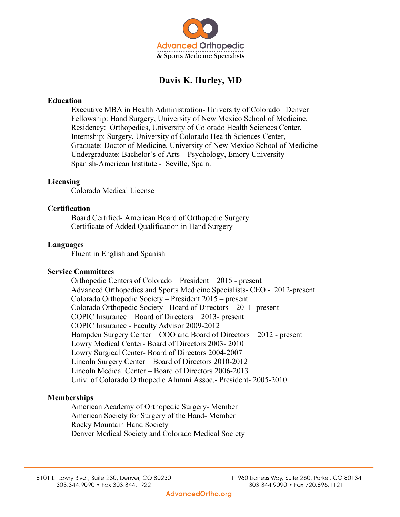

# **Davis K. Hurley, MD**

## **Education**

Executive MBA in Health Administration- University of Colorado– Denver Fellowship: Hand Surgery, University of New Mexico School of Medicine, Residency: Orthopedics, University of Colorado Health Sciences Center, Internship: Surgery, University of Colorado Health Sciences Center, Graduate: Doctor of Medicine, University of New Mexico School of Medicine Undergraduate: Bachelor's of Arts – Psychology, Emory University Spanish-American Institute - Seville, Spain.

## **Licensing**

Colorado Medical License

## **Certification**

Board Certified- American Board of Orthopedic Surgery Certificate of Added Qualification in Hand Surgery

## **Languages**

Fluent in English and Spanish

### **Service Committees**

Orthopedic Centers of Colorado – President – 2015 - present Advanced Orthopedics and Sports Medicine Specialists- CEO - 2012-present Colorado Orthopedic Society – President 2015 – present Colorado Orthopedic Society - Board of Directors – 2011- present COPIC Insurance – Board of Directors – 2013- present COPIC Insurance - Faculty Advisor 2009-2012 Hampden Surgery Center – COO and Board of Directors – 2012 - present Lowry Medical Center- Board of Directors 2003- 2010 Lowry Surgical Center- Board of Directors 2004-2007 Lincoln Surgery Center – Board of Directors 2010-2012 Lincoln Medical Center – Board of Directors 2006-2013 Univ. of Colorado Orthopedic Alumni Assoc.- President- 2005-2010

## **Memberships**

American Academy of Orthopedic Surgery- Member American Society for Surgery of the Hand- Member Rocky Mountain Hand Society Denver Medical Society and Colorado Medical Society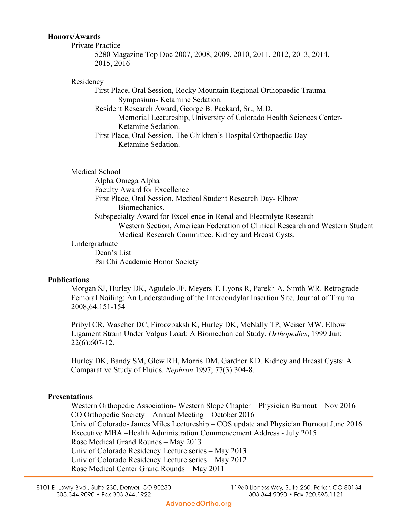## **Honors/Awards**

Private Practice 5280 Magazine Top Doc 2007, 2008, 2009, 2010, 2011, 2012, 2013, 2014, 2015, 2016

#### Residency

First Place, Oral Session, Rocky Mountain Regional Orthopaedic Trauma Symposium- Ketamine Sedation. Resident Research Award, George B. Packard, Sr., M.D.

Memorial Lectureship, University of Colorado Health Sciences Center-Ketamine Sedation.

First Place, Oral Session, The Children's Hospital Orthopaedic Day-Ketamine Sedation.

Medical School

Alpha Omega Alpha Faculty Award for Excellence First Place, Oral Session, Medical Student Research Day- Elbow Biomechanics. Subspecialty Award for Excellence in Renal and Electrolyte Research-Western Section, American Federation of Clinical Research and Western Student Medical Research Committee. Kidney and Breast Cysts.

### Undergraduate

Dean's List Psi Chi Academic Honor Society

### **Publications**

Morgan SJ, Hurley DK, Agudelo JF, Meyers T, Lyons R, Parekh A, Simth WR. Retrograde Femoral Nailing: An Understanding of the Intercondylar Insertion Site. Journal of Trauma 2008;64:151-154

Pribyl CR, Wascher DC, Firoozbaksh K, Hurley DK, McNally TP, Weiser MW. Elbow Ligament Strain Under Valgus Load: A Biomechanical Study. *Orthopedics*, 1999 Jun; 22(6):607-12.

Hurley DK, Bandy SM, Glew RH, Morris DM, Gardner KD. Kidney and Breast Cysts: A Comparative Study of Fluids. *Nephron* 1997; 77(3):304-8.

### **Presentations**

Western Orthopedic Association- Western Slope Chapter – Physician Burnout – Nov 2016 CO Orthopedic Society – Annual Meeting – October 2016 Univ of Colorado- James Miles Lectureship – COS update and Physician Burnout June 2016 Executive MBA –Health Administration Commencement Address - July 2015 Rose Medical Grand Rounds – May 2013 Univ of Colorado Residency Lecture series – May 2013 Univ of Colorado Residency Lecture series – May 2012 Rose Medical Center Grand Rounds – May 2011